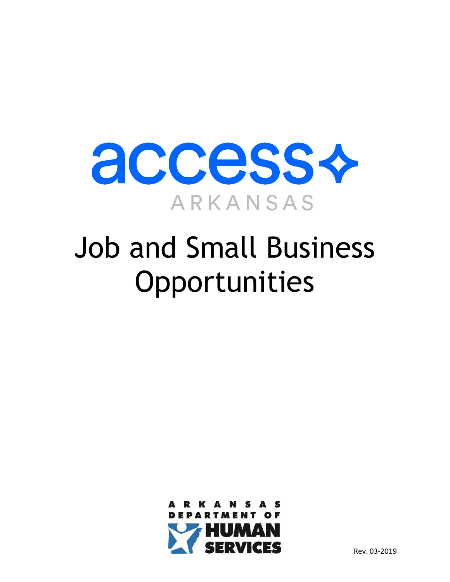

# Job and Small Business **Opportunities**

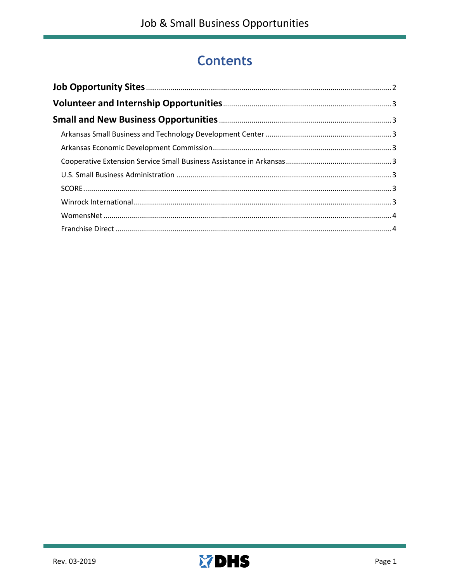# <span id="page-1-0"></span>**Contents**

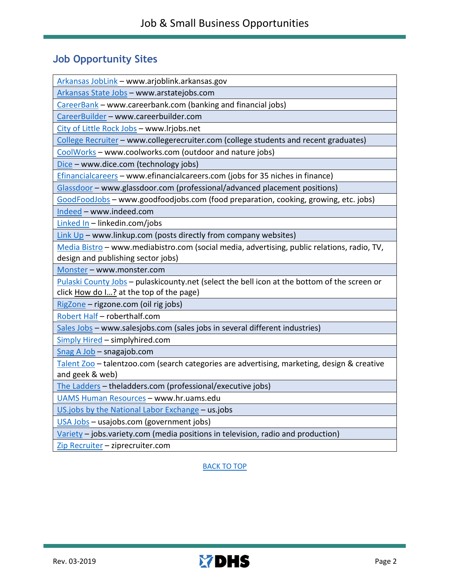## <span id="page-2-0"></span>**Job Opportunity Sites**

[Arkansas JobLink](https://www.arjoblink.arkansas.gov/ada/r/) – www.arjoblink.arkansas.gov

[Arkansas State Jobs](http://www.arstatejobs.com/) – www.arstatejobs.com

[CareerBank](http://www.careerbank.com/) – www.careerbank.com (banking and financial jobs)

[CareerBuilder](http://www.careerbuilder.com/) – www.careerbuilder.com

City of Little Rock Jobs – www.lrjobs.net

[College Recruiter](http://www.collegerecruiter.com/) – www.collegerecruiter.com (college students and recent graduates)

[CoolWorks](http://www.coolworks.com/) – www.coolworks.com (outdoor and nature jobs)

[Dice](http://www.dice.com/) – www.dice.com (technology jobs)

[Efinancialcareers](https://www.efinancialcareers.com/) – www.efinancialcareers.com (jobs for 35 niches in finance)

[Glassdoor](http://www.glassdoor.com/) – www.glassdoor.com (professional/advanced placement positions)

[GoodFoodJobs](https://www.goodfoodjobs.com/) – www.goodfoodjobs.com (food preparation, cooking, growing, etc. jobs)

[Indeed](http://www.indeed.com/) – www.indeed.com

[Linked In](http://www.linkedin.com/) – linkedin.com/jobs

Link  $Up$  – www.linkup.com (posts directly from company websites)

[Media Bistro](http://www.mediabistro.com/) – www.mediabistro.com (social media, advertising, public relations, radio, TV, design and publishing sector jobs)

[Monster](http://www.monster.com/) – www.monster.com

[Pulaski County Jobs](http://www.pulaskicounty.net/) – pulaskicounty.net (select the bell icon at the bottom of the screen or click How do  $1...?$  at the top of the page)

[RigZone](http://www.rigzone.com/) – rigzone.com (oil rig jobs)

[Robert Half](http://www.roberthalf.com/) – roberthalf.com

[Sales Jobs](http://www.salesjobs.com/) – www.salesjobs.com (sales jobs in several different industries)

[Simply Hired](http://www.simplyhired.com/) – simplyhired.com

[Snag A Job](http://www.snagajob.com/) – snagajob.com

[Talent Zoo](http://www.talentzoo.com/) – talentzoo.com (search categories are advertising, marketing, design & creative and geek & web)

[The Ladders](http://www.theladders.com/) – theladders.com (professional/executive jobs)

[UAMS Human Resources](https://hr.uams.edu/) – www.hr.uams.edu

[US.jobs by the National Labor Exchange](https://us.jobs/) – us.jobs

[USA Jobs](http://www.usajobs.com/) – usajobs.com (government jobs)

[Variety](http://www.jobs.variety.com/) – jobs.variety.com (media positions in television, radio and production)

[Zip Recruiter](http://www.ziprecruiter.com/) - ziprecruiter.com

[BACK TO TOP](#page-1-0)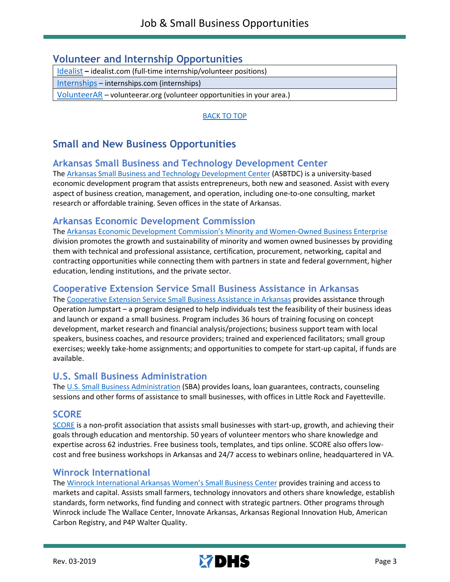### <span id="page-3-0"></span>**Volunteer and Internship Opportunities**

[Idealist](http://www.idealist.com/) **–** idealist.com (full-time internship/volunteer positions)

[Internships](http://www.internships.com/) – internships.com (internships)

[VolunteerAR](http://www.volunteerar.org/) – volunteerar.org (volunteer opportunities in your area.)

[BACK TO TOP](#page-1-0)

# <span id="page-3-1"></span>**Small and New Business Opportunities**

#### <span id="page-3-2"></span>**Arkansas Small Business and Technology Development Center**

The [Arkansas Small Business and Technology Development Center](http://asbtdc.org/) (ASBTDC) is a university-based economic development program that assists entrepreneurs, both new and seasoned. Assist with every aspect of business creation, management, and operation, including one-to-one consulting, market research or affordable training. Seven offices in the state of Arkansas.

#### <span id="page-3-3"></span>**Arkansas Economic Development Commission**

The [Arkansas Economic Development Commission's Minority and Women-Owned Business Enterprise](http://www.arkansasedc.com/divisions/minority-and-women-owned-business-enterprise) division promotes the growth and sustainability of minority and women owned businesses by providing them with technical and professional assistance, certification, procurement, networking, capital and contracting opportunities while connecting them with partners in state and federal government, higher education, lending institutions, and the private sector.

#### <span id="page-3-4"></span>**Cooperative Extension Service Small Business Assistance in Arkansas**

The [Cooperative Extension Service Small Business Assistance in Arkansas](https://www.uaex.edu/business-communities/business-entrepreneurship/assistance/small-business.aspx) provides assistance through Operation Jumpstart – a program designed to help individuals test the feasibility of their business ideas and launch or expand a small business. Program includes 36 hours of training focusing on concept development, market research and financial analysis/projections; business support team with local speakers, business coaches, and resource providers; trained and experienced facilitators; small group exercises; weekly take-home assignments; and opportunities to compete for start-up capital, if funds are available.

#### <span id="page-3-5"></span>**U.S. Small Business Administration**

The [U.S. Small Business Administration](https://www.sba.gov/offices/district/ar/little-rock) (SBA) provides loans, loan guarantees, contracts, counseling sessions and other forms of assistance to small businesses, with offices in Little Rock and Fayetteville.

#### <span id="page-3-6"></span>**SCORE**

[SCORE](https://www.score.org/) is a non-profit association that assists small businesses with start-up, growth, and achieving their goals through education and mentorship. 50 years of volunteer mentors who share knowledge and expertise across 62 industries. Free business tools, templates, and tips online. SCORE also offers lowcost and free business workshops in Arkansas and 24/7 access to webinars online, headquartered in VA.

#### <span id="page-3-7"></span>**Winrock International**

The [Winrock International Arkansas Women's Small Business Center](https://www.winrock.org/work/enterprise-incubator/arkansas-womens-business-center/) provides training and access to markets and capital. Assists small farmers, technology innovators and others share knowledge, establish standards, form networks, find funding and connect with strategic partners. Other programs through Winrock include The Wallace Center, Innovate Arkansas, Arkansas Regional Innovation Hub, American Carbon Registry, and P4P Walter Quality.